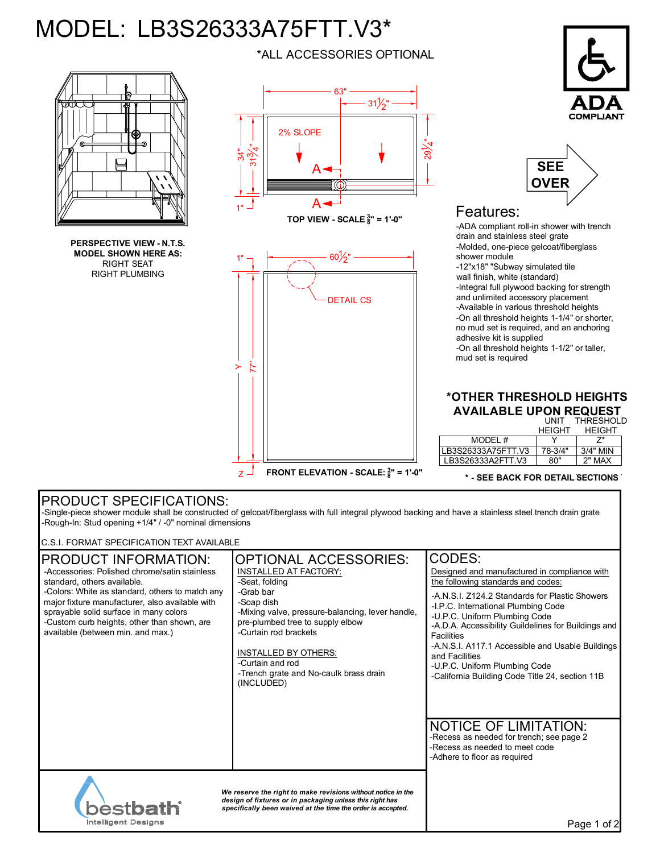## MODEL: LB3S26333A75FTT.V3\*

1"

.<br>ल

1"

 $\geq$ 

 $Z^{\perp}$ 



**PERSPECTIVE VIEW - N.T.S. MODEL SHOWN HERE AS:** RIGHT SEAT RIGHT PLUMBING

\*ALL ACCESSORIES OPTIONAL





## Features:

-ADA compliant roll-in shower with trench drain and stainless steel grate -Molded, one-piece gelcoat/fiberglass shower module -12"x18" "Subway simulated tile wall finish, white (standard) -Integral full plywood backing for strength and unlimited accessory placement -Available in various threshold heights -On all threshold heights 1-1/4" or shorter, no mud set is required, and an anchoring adhesive kit is supplied -On all threshold heights 1-1/2" or taller, mud set is required

## **\*OTHER THRESHOLD HEIGHTS AVAILABLE UPON REQUEST** UNIT THRESHOLD

|                    | <b>HFIGHT</b> | <b>HFIGHT</b> |
|--------------------|---------------|---------------|
| MODEL #            |               |               |
| LB3S26333A75FTT.V3 | 78-3/4"       | $3/4"$ MIN    |
| LB3S26333A2FTT.V3  | ጸበ"           | 2" MAX        |

**\* - SEE BACK FOR DETAIL SECTIONS**

## PRODUCT SPECIFICATIONS:

-Single-piece shower module shall be constructed of gelcoat/fiberglass with full integral plywood backing and have a stainless steel trench drain grate -Rough-In: Stud opening +1/4" / -0" nominal dimensions

**FRONT ELEVATION - SCALE: <sup>3</sup> 8 " = 1'-0"**

C.S.I. FORMAT SPECIFICATION TEXT AVAILABLE